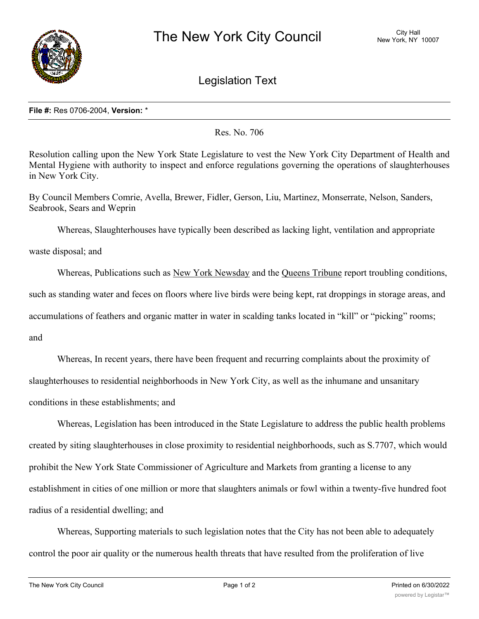

Legislation Text

## **File #:** Res 0706-2004, **Version:** \*

Res. No. 706

Resolution calling upon the New York State Legislature to vest the New York City Department of Health and Mental Hygiene with authority to inspect and enforce regulations governing the operations of slaughterhouses in New York City.

By Council Members Comrie, Avella, Brewer, Fidler, Gerson, Liu, Martinez, Monserrate, Nelson, Sanders, Seabrook, Sears and Weprin

Whereas, Slaughterhouses have typically been described as lacking light, ventilation and appropriate

waste disposal; and

Whereas, Publications such as New York Newsday and the Queens Tribune report troubling conditions, such as standing water and feces on floors where live birds were being kept, rat droppings in storage areas, and accumulations of feathers and organic matter in water in scalding tanks located in "kill" or "picking" rooms;

and

Whereas, In recent years, there have been frequent and recurring complaints about the proximity of slaughterhouses to residential neighborhoods in New York City, as well as the inhumane and unsanitary conditions in these establishments; and

Whereas, Legislation has been introduced in the State Legislature to address the public health problems created by siting slaughterhouses in close proximity to residential neighborhoods, such as S.7707, which would prohibit the New York State Commissioner of Agriculture and Markets from granting a license to any establishment in cities of one million or more that slaughters animals or fowl within a twenty-five hundred foot radius of a residential dwelling; and

Whereas, Supporting materials to such legislation notes that the City has not been able to adequately control the poor air quality or the numerous health threats that have resulted from the proliferation of live